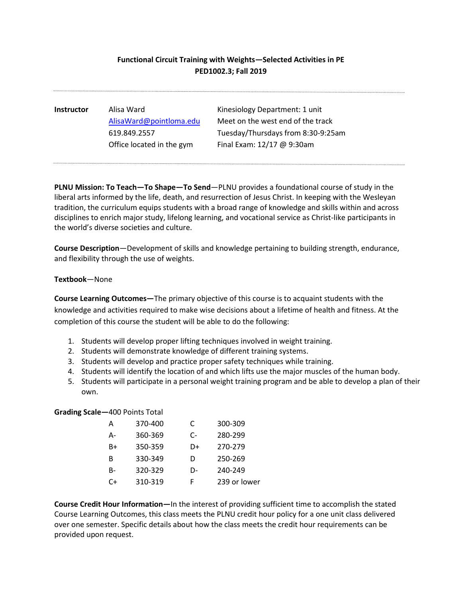## **Functional Circuit Training with Weights—Selected Activities in PE PED1002.3; Fall 2019**

**Instructor** Alisa Ward **Kinesiology Department: 1 unit** [AlisaWard@pointloma.edu](mailto:AlisaWard@pointloma.edu) Meet on the west end of the track 619.849.2557 Tuesday/Thursdays from 8:30-9:25am Office located in the gym Final Exam: 12/17 @ 9:30am

**PLNU Mission: To Teach—To Shape—To Send**—PLNU provides a foundational course of study in the liberal arts informed by the life, death, and resurrection of Jesus Christ. In keeping with the Wesleyan tradition, the curriculum equips students with a broad range of knowledge and skills within and across disciplines to enrich major study, lifelong learning, and vocational service as Christ-like participants in the world's diverse societies and culture.

**Course Description**—Development of skills and knowledge pertaining to building strength, endurance, and flexibility through the use of weights.

## **Textbook**—None

**Course Learning Outcomes—**The primary objective of this course is to acquaint students with the knowledge and activities required to make wise decisions about a lifetime of health and fitness. At the completion of this course the student will be able to do the following:

- 1. Students will develop proper lifting techniques involved in weight training.
- 2. Students will demonstrate knowledge of different training systems.
- 3. Students will develop and practice proper safety techniques while training.
- 4. Students will identify the location of and which lifts use the major muscles of the human body.
- 5. Students will participate in a personal weight training program and be able to develop a plan of their own.

## **Grading Scale—**400 Points Total

| A  | 370-400 | C  | 300-309      |
|----|---------|----|--------------|
| А- | 360-369 | C- | 280-299      |
| B+ | 350-359 | D+ | 270-279      |
| В  | 330-349 | D  | 250-269      |
| B- | 320-329 | D- | 240-249      |
| C+ | 310-319 | F  | 239 or lower |

**Course Credit Hour Information—**In the interest of providing sufficient time to accomplish the stated Course Learning Outcomes, this class meets the PLNU credit hour policy for a one unit class delivered over one semester. Specific details about how the class meets the credit hour requirements can be provided upon request.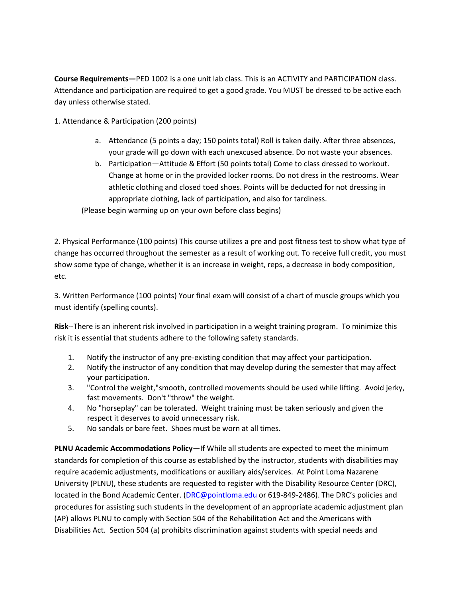**Course Requirements—**PED 1002 is a one unit lab class. This is an ACTIVITY and PARTICIPATION class. Attendance and participation are required to get a good grade. You MUST be dressed to be active each day unless otherwise stated.

1. Attendance & Participation (200 points)

- a. Attendance (5 points a day; 150 points total) Roll is taken daily. After three absences, your grade will go down with each unexcused absence. Do not waste your absences.
- b. Participation—Attitude & Effort (50 points total) Come to class dressed to workout. Change at home or in the provided locker rooms. Do not dress in the restrooms. Wear athletic clothing and closed toed shoes. Points will be deducted for not dressing in appropriate clothing, lack of participation, and also for tardiness.

(Please begin warming up on your own before class begins)

2. Physical Performance (100 points) This course utilizes a pre and post fitness test to show what type of change has occurred throughout the semester as a result of working out. To receive full credit, you must show some type of change, whether it is an increase in weight, reps, a decrease in body composition, etc.

3. Written Performance (100 points) Your final exam will consist of a chart of muscle groups which you must identify (spelling counts).

**Risk**--There is an inherent risk involved in participation in a weight training program. To minimize this risk it is essential that students adhere to the following safety standards.

- 1. Notify the instructor of any pre-existing condition that may affect your participation.
- 2. Notify the instructor of any condition that may develop during the semester that may affect your participation.
- 3. "Control the weight,"smooth, controlled movements should be used while lifting. Avoid jerky, fast movements. Don't "throw" the weight.
- 4. No "horseplay" can be tolerated. Weight training must be taken seriously and given the respect it deserves to avoid unnecessary risk.
- 5. No sandals or bare feet. Shoes must be worn at all times.

**PLNU Academic Accommodations Policy**—If While all students are expected to meet the minimum standards for completion of this course as established by the instructor, students with disabilities may require academic adjustments, modifications or auxiliary aids/services. At Point Loma Nazarene University (PLNU), these students are requested to register with the Disability Resource Center (DRC), located in the Bond Academic Center. [\(DRC@pointloma.edu](mailto:DRC@pointloma.edu) or 619-849-2486). The DRC's policies and procedures for assisting such students in the development of an appropriate academic adjustment plan (AP) allows PLNU to comply with Section 504 of the Rehabilitation Act and the Americans with Disabilities Act. Section 504 (a) prohibits discrimination against students with special needs and